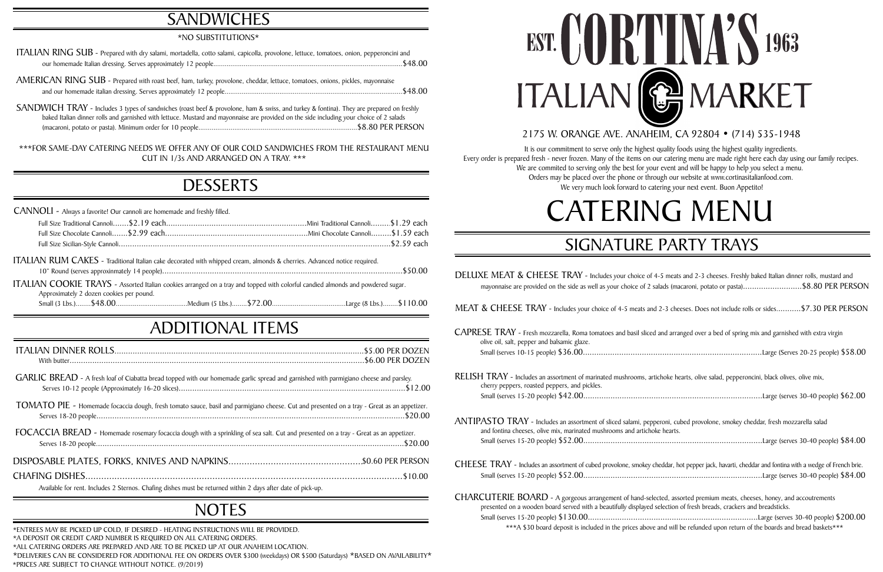epperoni, cubed provolone, smokey cheddar, fresh mozzarella salad hoke hearts. Small (serves 15-20 people) \$52.00...............................................................................Large (serves 30-40 people) \$84.00

## ADDITIONAL ITEMS

# **SANDWICHES**

### \*NO SUBSTITUTIONS\*

| RELISH TRAY - Includes an assortment of marinated mushrooms, a |
|----------------------------------------------------------------|
| cherry peppers, roasted peppers, and pickles.                  |
|                                                                |

| ANTIPASTO TRAY - Includes an assortment of sliced salami, pe   |  |
|----------------------------------------------------------------|--|
| and fontina cheeses, olive mix, marinated mushrooms and articl |  |
|                                                                |  |

Small (serves 15-20 people) \$42.00...............................................................................Large (serves 30-40 people) \$62.00

DELUXE MEAT & CHEESE TRAY - Includes your choice of 4-5 meats and 2-3 cheeses. Freshly baked Italian dinner rolls, mustard and mayonnaise are provided on the side as well as your choice of 2 salads (macaroni, potato or pasta)..........................\$8.80 PER PERSON

CHEESE TRAY - Includes an assortment of cubed provolone, smokey cheddar, hot pepper jack, havarti, cheddar and fontina with a wedge of French brie. Small (serves 15-20 people) \$52.00...............................................................................Large (serves 30-40 people) \$84.00

| GARLIC BREAD - A fresh loaf of Ciabatta bread topped with our homemade garlic spread and garnished with parmigiano cheese and parsley.                                                                                                                            |
|-------------------------------------------------------------------------------------------------------------------------------------------------------------------------------------------------------------------------------------------------------------------|
| TOMATO PIE - Homemade focaccia dough, fresh tomato sauce, basil and parmigiano cheese. Cut and presented on a tray - Great as an appetizer.<br>\$20.00 \$20.00 \$20.00 \$20.00 \$20.00 \$20.00 \$20.00 \$20.00 \$20.00 \$20.00 \$20.00 \$20.00 \$20.00 \$20.00 \$ |
| FOCACCIA BREAD - Homemade rosemary focaccia dough with a sprinkling of sea salt. Cut and presented on a tray - Great as an appetizer.                                                                                                                             |
|                                                                                                                                                                                                                                                                   |
| 510.00<br>Available for rent. Includes 2 Sternos. Chafing dishes must be returned within 2 days after date of pick-up.                                                                                                                                            |

# **NOTES**

CHARCUTERIE BOARD - A gorgeous arrangement of hand-selected, assorted premium meats, cheeses, honey, and accoutrements presented on a wooden board served with a beautifully displayed selection of fresh breads, crackers and breadsticks. Small (serves 15-20 people) \$130.00...........................................................................Large (serves 30-40 people) \$200.00

AMERICAN RING SUB - Prepared with roast beef, ham, turkey, provolone, cheddar, lettuce, tomatoes, onions, pickles, mayonnaise and our homemade italian dressing. Serves approximately 12 people..............................................................................................\$48.00

\*\*\*A \$30 board deposit is included in the prices above and will be refunded upon return of the boards and bread baskets\*\*\*



ced and arranged over a bed of spring mix and garnished with extra virgin

# SIGNATURE PARTY TRAYS

It is our commitment to serve only the highest quality foods using the highest quality ingredients. Every order is prepared fresh - never frozen. Many of the items on our catering menu are made right here each day using our family recipes. We are commited to serving only the best for your event and will be happy to help you select a menu. Orders may be placed over the phone or through our website at www.cortinasitalianfood.com. We very much look forward to catering your next event. Buon Appetito!

| <b>CANNOLI</b> - Always a favorite! Our cannoli are homemade and freshly filled.                                                                                            |  |
|-----------------------------------------------------------------------------------------------------------------------------------------------------------------------------|--|
|                                                                                                                                                                             |  |
|                                                                                                                                                                             |  |
|                                                                                                                                                                             |  |
| ITALIAN RUM CAKES - Traditional Italian cake decorated with whipped cream, almonds & cherries. Advanced notice required.                                                    |  |
| ITALIAN COOKIE TRAYS - Assorted Italian cookies arranged on a tray and topped with colorful candied almonds and powdered sugar.<br>Approximately 2 dozen cookies per pound. |  |
|                                                                                                                                                                             |  |

MEAT & CHEESE TRAY - Includes your choice of 4-5 meats and 2-3 cheeses. Does not include rolls or sides...........\$7.30 PER PERSON

| $\mathsf{C} \mathsf{AP} \mathsf{RESE}$ $\mathsf{T} \mathsf{R} \mathsf{A} \mathsf{Y}$ - Fresh mozzarella, Roma tomatoes and basil slic |  |
|---------------------------------------------------------------------------------------------------------------------------------------|--|
| olive oil, salt, pepper and balsamic glaze.                                                                                           |  |
|                                                                                                                                       |  |

Small (serves 10-15 people) \$36.00...............................................................................Large (Serves 20-25 people) \$58.00

artichoke hearts, olive salad, pepperoncini, black olives, olive mix,

\*ALL CATERING ORDERS ARE PREPARED AND ARE TO BE PICKED UP AT OUR ANAHEIM LOCATION. \*A DEPOSIT OR CREDIT CARD NUMBER IS REQUIRED ON ALL CATERING ORDERS. \*DELIVERIES CAN BE CONSIDERED FOR ADDITIONAL FEE ON ORDERS OVER \$300 (weekdays) OR \$500 (Saturdays) \*BASED ON AVAILABILITY\* \*PRICES ARE SUBJECT TO CHANGE WITHOUT NOTICE. (9/2019) \*ENTREES MAY BE PICKED UP COLD, IF DESIRED - HEATING INSTRUCTIONS WILL BE PROVIDED.

| ITALIAN RING SUB - Prepared with dry salami, mortadella, cotto salami, capicolla, provolone, lettuce, tomatoes, onion, pepperoncini and |
|-----------------------------------------------------------------------------------------------------------------------------------------|
|                                                                                                                                         |

SANDWICH TRAY - Includes 3 types of sandwiches (roast beef & provolone, ham & swiss, and turkey & fontina). They are prepared on freshly baked Italian dinner rolls and garnished with lettuce. Mustard and mayonnaise are provided on the side including your choice of 2 salads (macaroni, potato or pasta). Minimum order for 10 people....................................................................................\$8.80 PER PERSON

 \*\*\*FOR SAME-DAY CATERING NEEDS WE OFFER ANY OF OUR COLD SANDWICHES FROM THE RESTAURANT MENU CUT IN 1/3s AND ARRANGED ON A TRAY. \*\*\*

# **DESSERTS**

## 2175 W. ORANGE AVE. ANAHEIM, CA 92804 • (714) 535-1948

# CATERING MENU